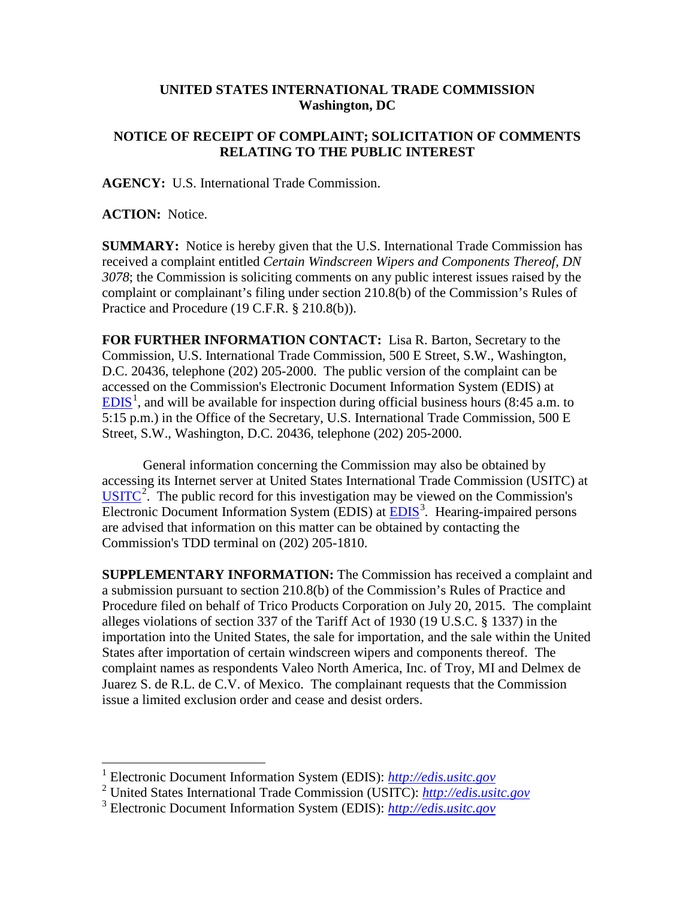## **UNITED STATES INTERNATIONAL TRADE COMMISSION Washington, DC**

## **NOTICE OF RECEIPT OF COMPLAINT; SOLICITATION OF COMMENTS RELATING TO THE PUBLIC INTEREST**

**AGENCY:** U.S. International Trade Commission.

**ACTION:** Notice.

**SUMMARY:** Notice is hereby given that the U.S. International Trade Commission has received a complaint entitled *Certain Windscreen Wipers and Components Thereof, DN 3078*; the Commission is soliciting comments on any public interest issues raised by the complaint or complainant's filing under section 210.8(b) of the Commission's Rules of Practice and Procedure (19 C.F.R. § 210.8(b)).

**FOR FURTHER INFORMATION CONTACT:** Lisa R. Barton, Secretary to the Commission, U.S. International Trade Commission, 500 E Street, S.W., Washington, D.C. 20436, telephone (202) 205-2000. The public version of the complaint can be accessed on the Commission's Electronic Document Information System (EDIS) at  $EDIS<sup>1</sup>$  $EDIS<sup>1</sup>$  $EDIS<sup>1</sup>$  $EDIS<sup>1</sup>$ , and will be available for inspection during official business hours (8:45 a.m. to 5:15 p.m.) in the Office of the Secretary, U.S. International Trade Commission, 500 E Street, S.W., Washington, D.C. 20436, telephone (202) 205-2000.

General information concerning the Commission may also be obtained by accessing its Internet server at United States International Trade Commission (USITC) at  $\overline{\text{USITC}}^2$  $\overline{\text{USITC}}^2$  $\overline{\text{USITC}}^2$  $\overline{\text{USITC}}^2$ . The public record for this investigation may be viewed on the Commission's Electronic Document Information System (EDIS) at **EDIS**<sup>[3](#page-0-2)</sup>. Hearing-impaired persons are advised that information on this matter can be obtained by contacting the Commission's TDD terminal on (202) 205-1810.

**SUPPLEMENTARY INFORMATION:** The Commission has received a complaint and a submission pursuant to section 210.8(b) of the Commission's Rules of Practice and Procedure filed on behalf of Trico Products Corporation on July 20, 2015. The complaint alleges violations of section 337 of the Tariff Act of 1930 (19 U.S.C. § 1337) in the importation into the United States, the sale for importation, and the sale within the United States after importation of certain windscreen wipers and components thereof. The complaint names as respondents Valeo North America, Inc. of Troy, MI and Delmex de Juarez S. de R.L. de C.V. of Mexico. The complainant requests that the Commission issue a limited exclusion order and cease and desist orders.

 <sup>1</sup> Electronic Document Information System (EDIS): *[http://edis.usitc.gov](http://edis.usitc.gov/)*

<span id="page-0-1"></span><span id="page-0-0"></span><sup>2</sup> United States International Trade Commission (USITC): *[http://edis.usitc.gov](http://edis.usitc.gov/)*

<span id="page-0-2"></span><sup>3</sup> Electronic Document Information System (EDIS): *[http://edis.usitc.gov](http://edis.usitc.gov/)*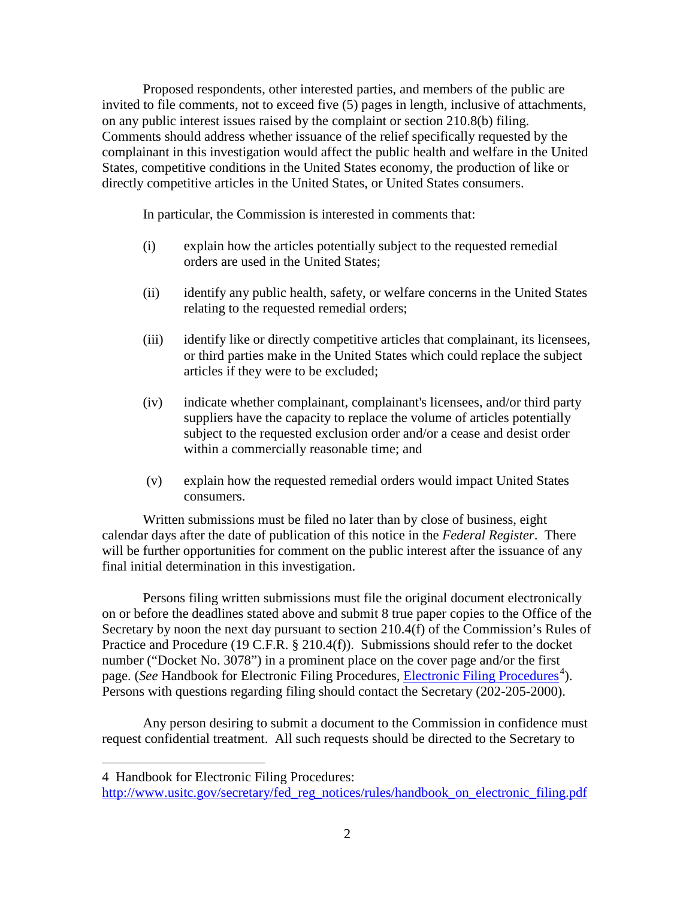Proposed respondents, other interested parties, and members of the public are invited to file comments, not to exceed five (5) pages in length, inclusive of attachments, on any public interest issues raised by the complaint or section 210.8(b) filing. Comments should address whether issuance of the relief specifically requested by the complainant in this investigation would affect the public health and welfare in the United States, competitive conditions in the United States economy, the production of like or directly competitive articles in the United States, or United States consumers.

In particular, the Commission is interested in comments that:

- (i) explain how the articles potentially subject to the requested remedial orders are used in the United States;
- (ii) identify any public health, safety, or welfare concerns in the United States relating to the requested remedial orders;
- (iii) identify like or directly competitive articles that complainant, its licensees, or third parties make in the United States which could replace the subject articles if they were to be excluded;
- (iv) indicate whether complainant, complainant's licensees, and/or third party suppliers have the capacity to replace the volume of articles potentially subject to the requested exclusion order and/or a cease and desist order within a commercially reasonable time; and
- (v) explain how the requested remedial orders would impact United States consumers.

Written submissions must be filed no later than by close of business, eight calendar days after the date of publication of this notice in the *Federal Register*. There will be further opportunities for comment on the public interest after the issuance of any final initial determination in this investigation.

Persons filing written submissions must file the original document electronically on or before the deadlines stated above and submit 8 true paper copies to the Office of the Secretary by noon the next day pursuant to section 210.4(f) of the Commission's Rules of Practice and Procedure (19 C.F.R. § 210.4(f)). Submissions should refer to the docket number ("Docket No. 3078") in a prominent place on the cover page and/or the first page. (*See* Handbook for [Electronic Filing Procedures](http://www.usitc.gov/secretary/fed_reg_notices/rules/handbook_on_electronic_filing.pdf), *Electronic Filing Procedures*<sup>[4](#page-1-0)</sup>). Persons with questions regarding filing should contact the Secretary (202-205-2000).

Any person desiring to submit a document to the Commission in confidence must request confidential treatment. All such requests should be directed to the Secretary to

 $\overline{a}$ 

<span id="page-1-0"></span><sup>4</sup> Handbook for Electronic Filing Procedures:

http://www.usitc.gov/secretary/fed\_reg\_notices/rules/handbook\_on\_electronic\_filing.pdf